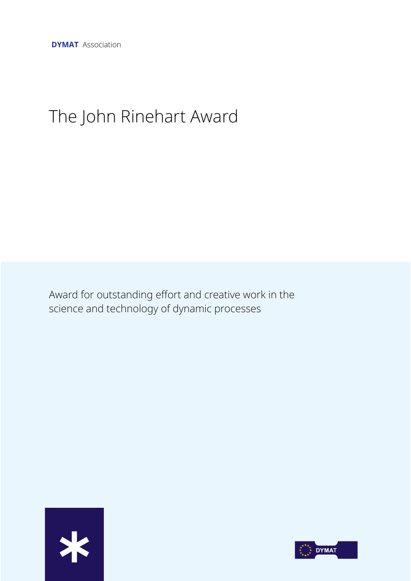# The John Rinehart Award

Award for outstanding effort and creative work in the science and technology of dynamic processes



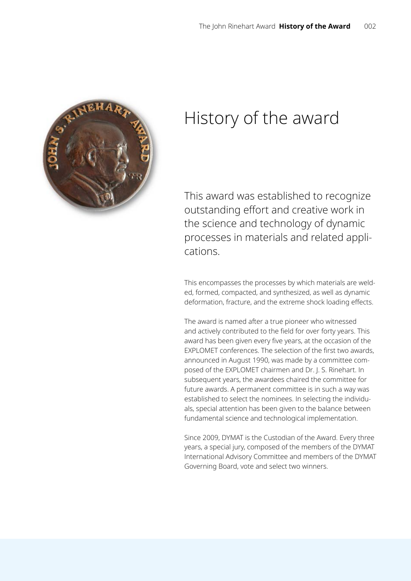

# History of the award

This award was established to recognize outstanding effort and creative work in the science and technology of dynamic processes in materials and related applications.

This encompasses the processes by which materials are welded, formed, compacted, and synthesized, as well as dynamic deformation, fracture, and the extreme shock loading effects.

The award is named after a true pioneer who witnessed and actively contributed to the field for over forty years. This award has been given every five years, at the occasion of the EXPLOMET conferences. The selection of the first two awards, announced in August 1990, was made by a committee composed of the EXPLOMET chairmen and Dr. J. S. Rinehart. In subsequent years, the awardees chaired the committee for future awards. A permanent committee is in such a way was established to select the nominees. In selecting the individuals, special attention has been given to the balance between fundamental science and technological implementation.

Since 2009, DYMAT is the Custodian of the Award. Every three years, a special jury, composed of the members of the DYMAT International Advisory Committee and members of the DYMAT Governing Board, vote and select two winners.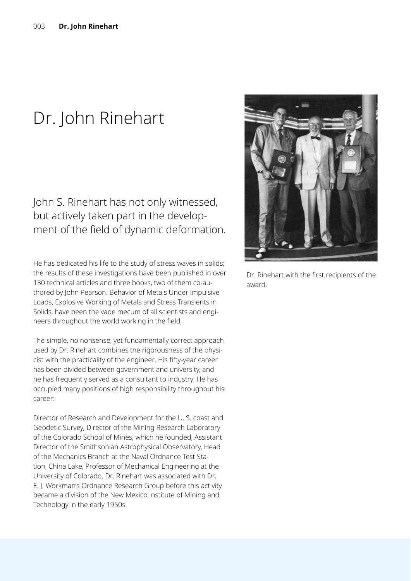# Dr. John Rinehart

John S. Rinehart has not only witnessed, but actively taken part in the development of the field of dynamic deformation.

He has dedicated his life to the study of stress waves in solids; the results of these investigations have been published in over 130 technical articles and three books, two of them co-authored by John Pearson. Behavior of Metals Under Impulsive Loads, Explosive Working of Metals and Stress Transients in Solids, have been the vade mecum of all scientists and engineers throughout the world working in the field.

The simple, no nonsense, yet fundamentally correct approach used by Dr. Rinehart combines the rigorousness of the physicist with the practicality of the engineer. His fifty-year career has been divided between government and university, and he has frequently served as a consultant to industry. He has occupied many positions of high responsibility throughout his career:

Director of Research and Development for the U. S. coast and Geodetic Survey, Director of the Mining Research Laboratory of the Colorado School of Mines, which he founded, Assistant Director of the Smithsonian Astrophysical Observatory, Head of the Mechanics Branch at the Naval Ordnance Test Station, China Lake, Professor of Mechanical Engineering at the University of Colorado. Dr. Rinehart was associated with Dr. E. J. Workman's Ordnance Research Group before this activity became a division of the New Mexico Institute of Mining and Technology in the early 1950s.



Dr. Rinehart with the first recipients of the award.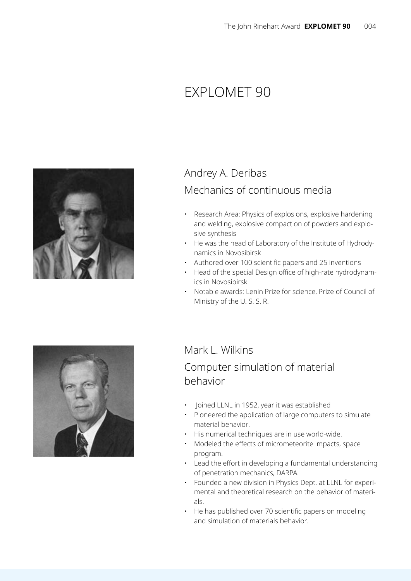# Explomet 90



## Andrey A. Deribas Mechanics of continuous media

- Research Area: Physics of explosions, explosive hardening and welding, explosive compaction of powders and explosive synthesis
- He was the head of Laboratory of the Institute of Hydrodynamics in Novosibirsk
- Authored over 100 scientific papers and 25 inventions
- Head of the special Design office of high-rate hydrodynamics in Novosibirsk
- Notable awards: Lenin Prize for science, Prize of Council of Ministry of the U. S. S. R.



### Mark L. Wilkins

### Computer simulation of material behavior

- Joined LLNL in 1952, year it was established
- Pioneered the application of large computers to simulate material behavior.
- His numerical techniques are in use world-wide.
- Modeled the effects of micrometeorite impacts, space program.
- Lead the effort in developing a fundamental understanding of penetration mechanics, DARPA.
- Founded a new division in Physics Dept. at LLNL for experimental and theoretical research on the behavior of materials.
- He has published over 70 scientific papers on modeling and simulation of materials behavior.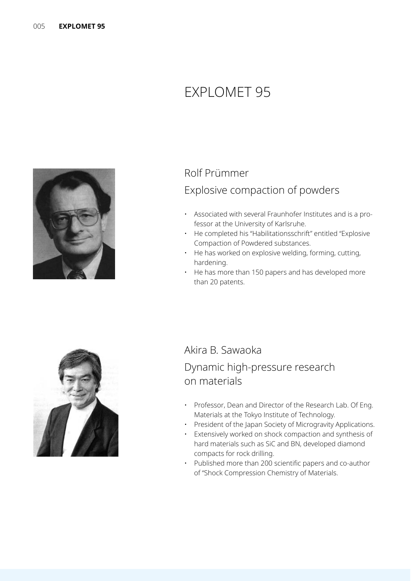# Explomet 95



#### Rolf Prümmer

#### Explosive compaction of powders

- Associated with several Fraunhofer Institutes and is a professor at the University of Karlsruhe.
- He completed his "Habilitationsschrift" entitled "Explosive Compaction of Powdered substances.
- He has worked on explosive welding, forming, cutting, hardening.
- He has more than 150 papers and has developed more than 20 patents.



#### Akira B. Sawaoka

### Dynamic high-pressure research on materials

- Professor, Dean and Director of the Research Lab. Of Eng. Materials at the Tokyo Institute of Technology.
- President of the Japan Society of Microgravity Applications.
- Extensively worked on shock compaction and synthesis of hard materials such as SiC and BN, developed diamond compacts for rock drilling.
- Published more than 200 scientific papers and co-author of "Shock Compression Chemistry of Materials.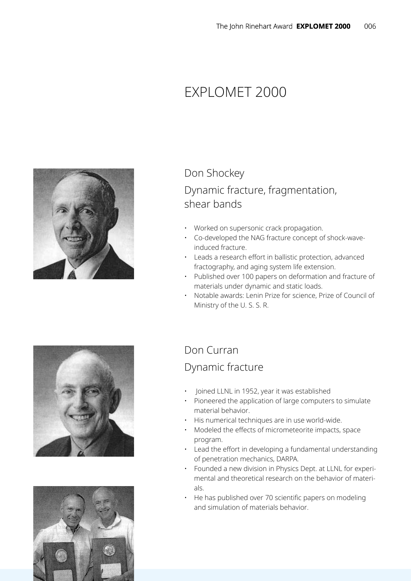# Explomet 2000



## Don Shockey Dynamic fracture, fragmentation, shear bands

- Worked on supersonic crack propagation.
- Co-developed the NAG fracture concept of shock-waveinduced fracture.
- Leads a research effort in ballistic protection, advanced fractography, and aging system life extension.
- Published over 100 papers on deformation and fracture of materials under dynamic and static loads.
- Notable awards: Lenin Prize for science, Prize of Council of Ministry of the U. S. S. R.





### Don Curran

### Dynamic fracture

- Joined LLNL in 1952, year it was established
- Pioneered the application of large computers to simulate material behavior.
- His numerical techniques are in use world-wide.
- Modeled the effects of micrometeorite impacts, space program.
- Lead the effort in developing a fundamental understanding of penetration mechanics, DARPA.
- Founded a new division in Physics Dept. at LLNL for experimental and theoretical research on the behavior of materials.
- He has published over 70 scientific papers on modeling and simulation of materials behavior.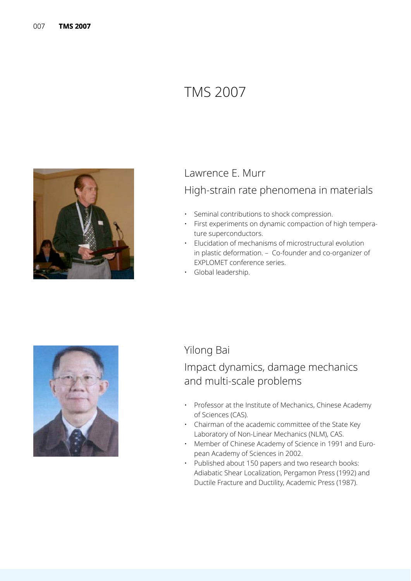# TMS 2007



# Lawrence E. Murr

### High-strain rate phenomena in materials

- Seminal contributions to shock compression.
- First experiments on dynamic compaction of high temperature superconductors.
- Elucidation of mechanisms of microstructural evolution in plastic deformation. – Co-founder and co-organizer of EXPLOMET conference series.
- Global leadership.



#### Yilong Bai

### Impact dynamics, damage mechanics and multi-scale problems

- Professor at the Institute of Mechanics, Chinese Academy of Sciences (CAS).
- Chairman of the academic committee of the State Key Laboratory of Non-Linear Mechanics (NLM), CAS.
- Member of Chinese Academy of Science in 1991 and European Academy of Sciences in 2002.
- Published about 150 papers and two research books: Adiabatic Shear Localization, Pergamon Press (1992) and Ductile Fracture and Ductility, Academic Press (1987).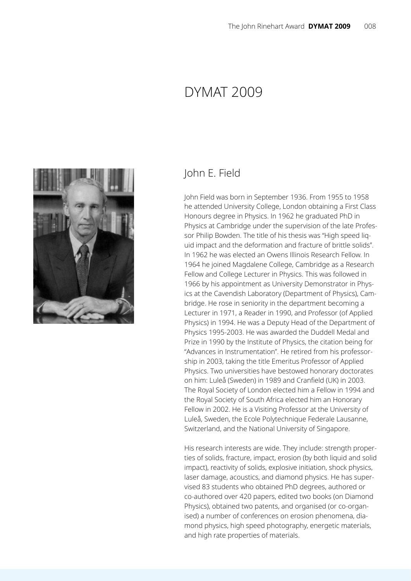## Dymat 2009



#### John E. Field

John Field was born in September 1936. From 1955 to 1958 he attended University College, London obtaining a First Class Honours degree in Physics. In 1962 he graduated PhD in Physics at Cambridge under the supervision of the late Professor Philip Bowden. The title of his thesis was "High speed liquid impact and the deformation and fracture of brittle solids". In 1962 he was elected an Owens Illinois Research Fellow. In 1964 he joined Magdalene College, Cambridge as a Research Fellow and College Lecturer in Physics. This was followed in 1966 by his appointment as University Demonstrator in Physics at the Cavendish Laboratory (Department of Physics), Cambridge. He rose in seniority in the department becoming a Lecturer in 1971, a Reader in 1990, and Professor (of Applied Physics) in 1994. He was a Deputy Head of the Department of Physics 1995-2003. He was awarded the Duddell Medal and Prize in 1990 by the Institute of Physics, the citation being for "Advances in Instrumentation". He retired from his professorship in 2003, taking the title Emeritus Professor of Applied Physics. Two universities have bestowed honorary doctorates on him: Luleå (Sweden) in 1989 and Cranfield (UK) in 2003. The Royal Society of London elected him a Fellow in 1994 and the Royal Society of South Africa elected him an Honorary Fellow in 2002. He is a Visiting Professor at the University of Luleå, Sweden, the Ecole Polytechnique Federale Lausanne, Switzerland, and the National University of Singapore.

His research interests are wide. They include: strength properties of solids, fracture, impact, erosion (by both liquid and solid impact), reactivity of solids, explosive initiation, shock physics, laser damage, acoustics, and diamond physics. He has supervised 83 students who obtained PhD degrees, authored or co-authored over 420 papers, edited two books (on Diamond Physics), obtained two patents, and organised (or co-organised) a number of conferences on erosion phenomena, diamond physics, high speed photography, energetic materials, and high rate properties of materials.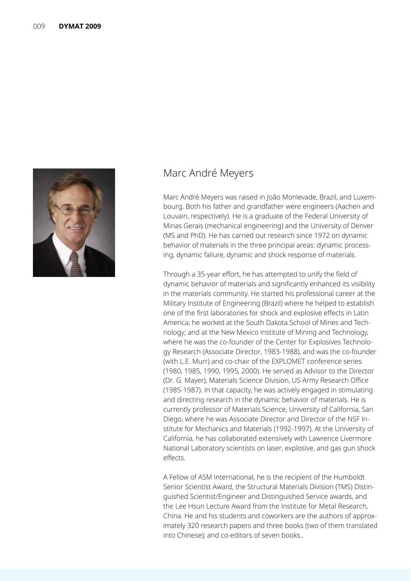

#### Marc André Meyers

Marc André Meyers was raised in João Monlevade, Brazil, and Luxembourg. Both his father and grandfather were engineers (Aachen and Louvain, respectively). He is a graduate of the Federal University of Minas Gerais (mechanical engineering) and the University of Denver (MS and PhD). He has carried out research since 1972 on dynamic behavior of materials in the three principal areas: dynamic processing, dynamic failure, dynamic and shock response of materials.

Through a 35-year effort, he has attempted to unify the field of dynamic behavior of materials and significantly enhanced its visibility in the materials community. He started his professional career at the Military Institute of Engineering (Brazil) where he helped to establish one of the first laboratories for shock and explosive effects in Latin America; he worked at the South Dakota School of Mines and Technology; and at the New Mexico Institute of Mining and Technology, where he was the co-founder of the Center for Explosives Technology Research (Associate Director, 1983-1988), and was the co-founder (with L.E. Murr) and co-chair of the EXPLOMET conference series (1980, 1985, 1990, 1995, 2000). He served as Advisor to the Director (Dr. G. Mayer), Materials Science Division, US Army Research Office (1985-1987). In that capacity, he was actively engaged in stimulating and directing research in the dynamic behavior of materials. He is currently professor of Materials Science, University of California, San Diego, where he was Associate Director and Director of the NSF Institute for Mechanics and Materials (1992-1997). At the University of California, he has collaborated extensively with Lawrence Livermore National Laboratory scientists on laser, explosive, and gas gun shock effects.

A Fellow of ASM International, he is the recipient of the Humboldt Senior Scientist Award, the Structural Materials Division (TMS) Distinguished Scientist/Engineer and Distinguished Service awards, and the Lee Hsun Lecture Award from the Institute for Metal Research, China. He and his students and coworkers are the authors of approximately 320 research papers and three books (two of them translated into Chinese); and co-editors of seven books..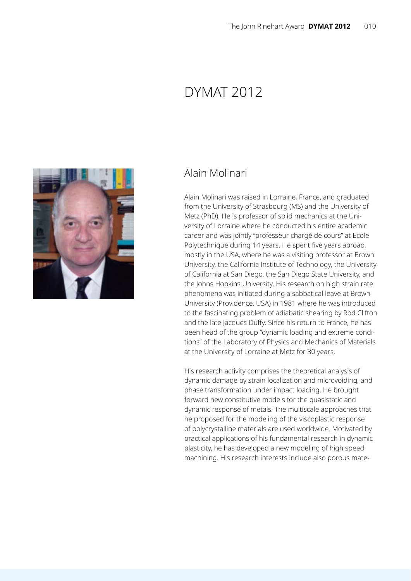# DYMAT 2012



#### Alain Molinari

Alain Molinari was raised in Lorraine, France, and graduated from the University of Strasbourg (MS) and the University of Metz (PhD). He is professor of solid mechanics at the University of Lorraine where he conducted his entire academic career and was jointly "professeur chargé de cours" at Ecole Polytechnique during 14 years. He spent five years abroad, mostly in the USA, where he was a visiting professor at Brown University, the California Institute of Technology, the University of California at San Diego, the San Diego State University, and the Johns Hopkins University. His research on high strain rate phenomena was initiated during a sabbatical leave at Brown University (Providence, USA) in 1981 where he was introduced to the fascinating problem of adiabatic shearing by Rod Clifton and the late Jacques Duffy. Since his return to France, he has been head of the group "dynamic loading and extreme conditions" of the Laboratory of Physics and Mechanics of Materials at the University of Lorraine at Metz for 30 years.

His research activity comprises the theoretical analysis of dynamic damage by strain localization and microvoiding, and phase transformation under impact loading. He brought forward new constitutive models for the quasistatic and dynamic response of metals. The multiscale approaches that he proposed for the modeling of the viscoplastic response of polycrystalline materials are used worldwide. Motivated by practical applications of his fundamental research in dynamic plasticity, he has developed a new modeling of high speed machining. His research interests include also porous mate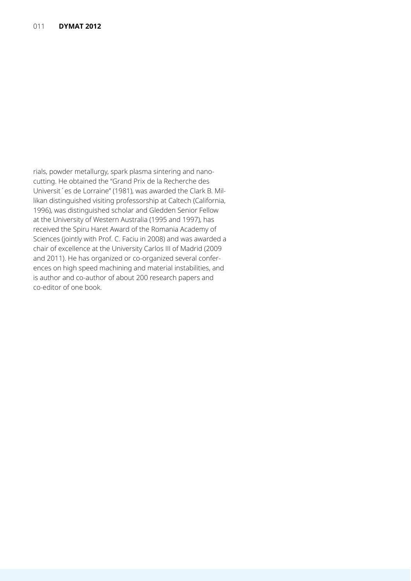rials, powder metallurgy, spark plasma sintering and nanocutting. He obtained the "Grand Prix de la Recherche des Universit´es de Lorraine" (1981), was awarded the Clark B. Millikan distinguished visiting professorship at Caltech (California, 1996), was distinguished scholar and Gledden Senior Fellow at the University of Western Australia (1995 and 1997), has received the Spiru Haret Award of the Romania Academy of Sciences (jointly with Prof. C. Faciu in 2008) and was awarded a chair of excellence at the University Carlos III of Madrid (2009 and 2011). He has organized or co-organized several conferences on high speed machining and material instabilities, and is author and co-author of about 200 research papers and co-editor of one book.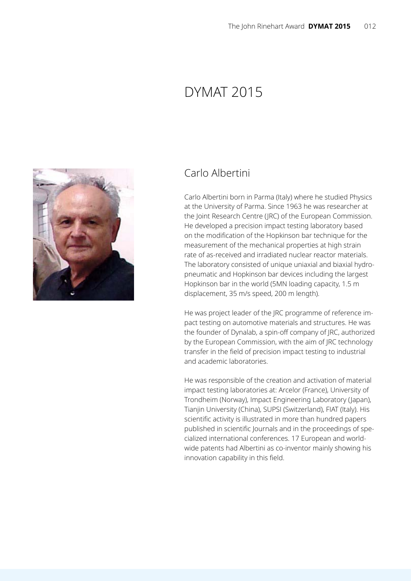# Dymat 2015



#### Carlo Albertini

Carlo Albertini born in Parma (Italy) where he studied Physics at the University of Parma. Since 1963 he was researcher at the Joint Research Centre (JRC) of the European Commission. He developed a precision impact testing laboratory based on the modification of the Hopkinson bar technique for the measurement of the mechanical properties at high strain rate of as-received and irradiated nuclear reactor materials. The laboratory consisted of unique uniaxial and biaxial hydropneumatic and Hopkinson bar devices including the largest Hopkinson bar in the world (5MN loading capacity, 1.5 m displacement, 35 m/s speed, 200 m length).

He was project leader of the JRC programme of reference impact testing on automotive materials and structures. He was the founder of Dynalab, a spin-off company of JRC, authorized by the European Commission, with the aim of JRC technology transfer in the field of precision impact testing to industrial and academic laboratories.

He was responsible of the creation and activation of material impact testing laboratories at: Arcelor (France), University of Trondheim (Norway), Impact Engineering Laboratory (Japan), Tianjin University (China), SUPSI (Switzerland), FIAT (Italy). His scientific activity is illustrated in more than hundred papers published in scientific Journals and in the proceedings of specialized international conferences. 17 European and worldwide patents had Albertini as co-inventor mainly showing his innovation capability in this field.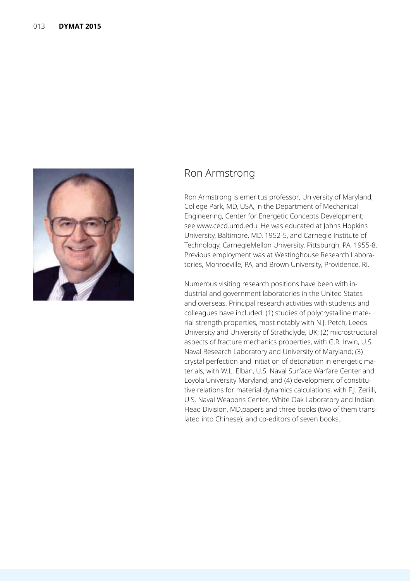

#### Ron Armstrong

Ron Armstrong is emeritus professor, University of Maryland, College Park, MD, USA, in the Department of Mechanical Engineering, Center for Energetic Concepts Development; see www.cecd.umd.edu. He was educated at Johns Hopkins University, Baltimore, MD, 1952-5, and Carnegie Institute of Technology, CarnegieMellon University, Pittsburgh, PA, 1955-8. Previous employment was at Westinghouse Research Laboratories, Monroeville, PA, and Brown University, Providence, RI.

Numerous visiting research positions have been with industrial and government laboratories in the United States and overseas. Principal research activities with students and colleagues have included: (1) studies of polycrystalline material strength properties, most notably with N.J. Petch, Leeds University and University of Strathclyde, UK; (2) microstructural aspects of fracture mechanics properties, with G.R. Irwin, U.S. Naval Research Laboratory and University of Maryland; (3) crystal perfection and initiation of detonation in energetic materials, with W.L. Elban, U.S. Naval Surface Warfare Center and Loyola University Maryland; and (4) development of constitutive relations for material dynamics calculations, with F.J. Zerilli, U.S. Naval Weapons Center, White Oak Laboratory and Indian Head Division, MD.papers and three books (two of them translated into Chinese); and co-editors of seven books..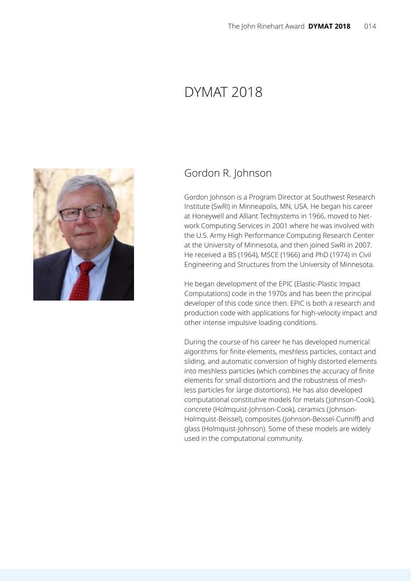# Dymat 2018



#### Gordon R. Johnson

Gordon Johnson is a Program Director at Southwest Research Institute (SwRI) in Minneapolis, MN, USA. He began his career at Honeywell and Alliant Techsystems in 1966, moved to Network Computing Services in 2001 where he was involved with the U.S. Army High Performance Computing Research Center at the University of Minnesota, and then joined SwRI in 2007. He received a BS (1964), MSCE (1966) and PhD (1974) in Civil Engineering and Structures from the University of Minnesota.

He began development of the EPIC (Elastic-Plastic Impact Computations) code in the 1970s and has been the principal developer of this code since then. EPIC is both a research and production code with applications for high-velocity impact and other intense impulsive loading conditions.

During the course of his career he has developed numerical algorithms for finite elements, meshless particles, contact and sliding, and automatic conversion of highly distorted elements into meshless particles (which combines the accuracy of finite elements for small distortions and the robustness of meshless particles for large distortions). He has also developed computational constitutive models for metals (Johnson-Cook), concrete (Holmquist-Johnson-Cook), ceramics (Johnson-Holmquist-Beissel), composites (Johnson-Beissel-Cunniff) and glass (Holmquist-Johnson). Some of these models are widely used in the computational community.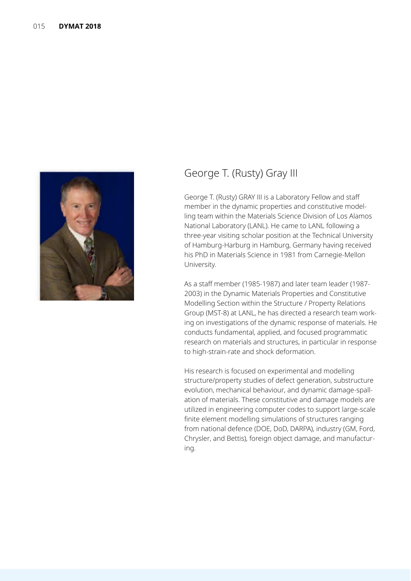

### George T. (Rusty) Gray III

George T. (Rusty) GRAY III is a Laboratory Fellow and staff member in the dynamic properties and constitutive modelling team within the Materials Science Division of Los Alamos National Laboratory (LANL). He came to LANL following a three-year visiting scholar position at the Technical University of Hamburg-Harburg in Hamburg, Germany having received his PhD in Materials Science in 1981 from Carnegie-Mellon University.

As a staff member (1985-1987) and later team leader (1987- 2003) in the Dynamic Materials Properties and Constitutive Modelling Section within the Structure / Property Relations Group (MST-8) at LANL, he has directed a research team working on investigations of the dynamic response of materials. He conducts fundamental, applied, and focused programmatic research on materials and structures, in particular in response to high-strain-rate and shock deformation.

His research is focused on experimental and modelling structure/property studies of defect generation, substructure evolution, mechanical behaviour, and dynamic damage-spallation of materials. These constitutive and damage models are utilized in engineering computer codes to support large-scale finite element modelling simulations of structures ranging from national defence (DOE, DoD, DARPA), industry (GM, Ford, Chrysler, and Bettis), foreign object damage, and manufacturing.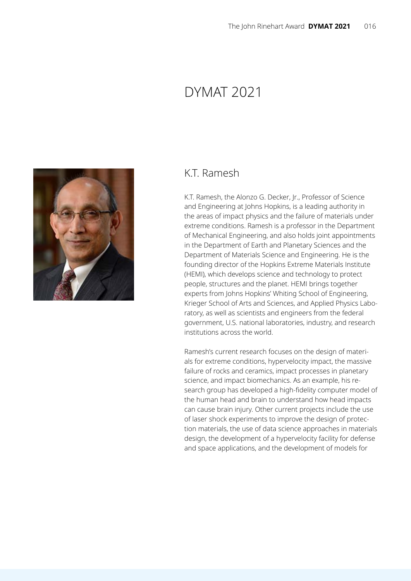## DYMAT 2021



#### K.T. Ramesh

K.T. Ramesh, the Alonzo G. Decker, Jr., Professor of Science and Engineering at Johns Hopkins, is a leading authority in the areas of impact physics and the failure of materials under extreme conditions. Ramesh is a professor in the Department of Mechanical Engineering, and also holds joint appointments in the Department of Earth and Planetary Sciences and the Department of Materials Science and Engineering. He is the founding director of the Hopkins Extreme Materials Institute (HEMI), which develops science and technology to protect people, structures and the planet. HEMI brings together experts from Johns Hopkins' Whiting School of Engineering, Krieger School of Arts and Sciences, and Applied Physics Laboratory, as well as scientists and engineers from the federal government, U.S. national laboratories, industry, and research institutions across the world.

Ramesh's current research focuses on the design of materials for extreme conditions, hypervelocity impact, the massive failure of rocks and ceramics, impact processes in planetary science, and impact biomechanics. As an example, his research group has developed a high-fidelity computer model of the human head and brain to understand how head impacts can cause brain injury. Other current projects include the use of laser shock experiments to improve the design of protection materials, the use of data science approaches in materials design, the development of a hypervelocity facility for defense and space applications, and the development of models for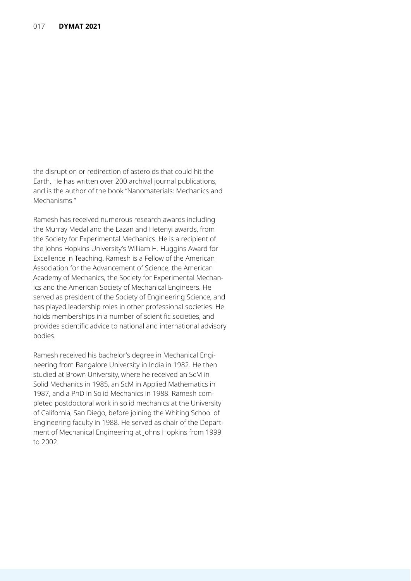the disruption or redirection of asteroids that could hit the Earth. He has written over 200 archival journal publications, and is the author of the book "Nanomaterials: Mechanics and Mechanisms."

Ramesh has received numerous research awards including the Murray Medal and the Lazan and Hetenyi awards, from the Society for Experimental Mechanics. He is a recipient of the Johns Hopkins University's William H. Huggins Award for Excellence in Teaching. Ramesh is a Fellow of the American Association for the Advancement of Science, the American Academy of Mechanics, the Society for Experimental Mechanics and the American Society of Mechanical Engineers. He served as president of the Society of Engineering Science, and has played leadership roles in other professional societies. He holds memberships in a number of scientific societies, and provides scientific advice to national and international advisory bodies.

Ramesh received his bachelor's degree in Mechanical Engineering from Bangalore University in India in 1982. He then studied at Brown University, where he received an ScM in Solid Mechanics in 1985, an ScM in Applied Mathematics in 1987, and a PhD in Solid Mechanics in 1988. Ramesh completed postdoctoral work in solid mechanics at the University of California, San Diego, before joining the Whiting School of Engineering faculty in 1988. He served as chair of the Department of Mechanical Engineering at Johns Hopkins from 1999 to 2002.